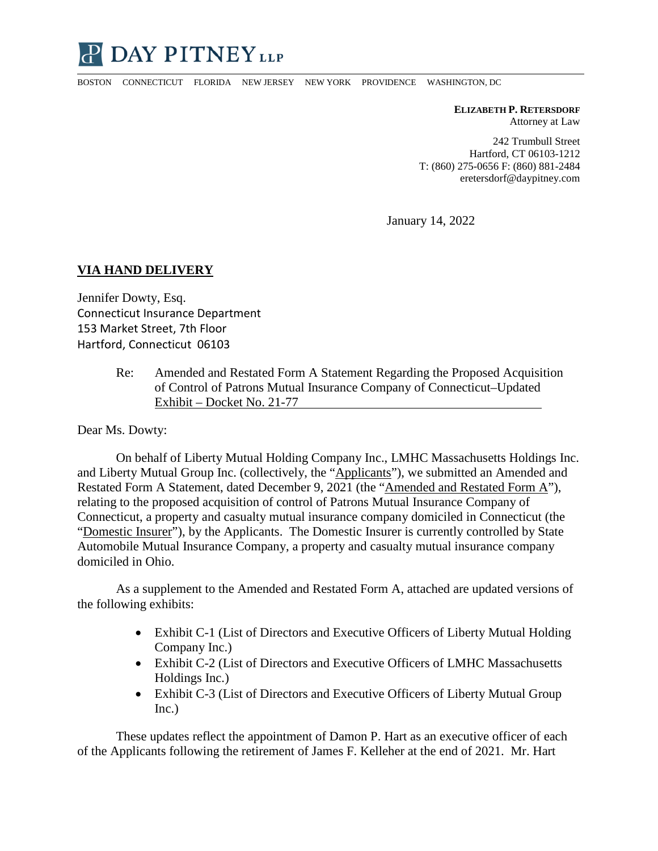

BOSTON CONNECTICUT FLORIDA NEW JERSEY NEW YORK PROVIDENCE WASHINGTON, DC

**ELIZABETH P. RETERSDORF** Attorney at Law

242 Trumbull Street Hartford, CT 06103-1212 T: (860) 275-0656 F: (860) 881-2484 eretersdorf@daypitney.com

January 14, 2022

## **VIA HAND DELIVERY**

Jennifer Dowty, Esq. Connecticut Insurance Department 153 Market Street, 7th Floor Hartford, Connecticut 06103

> Re: Amended and Restated Form A Statement Regarding the Proposed Acquisition of Control of Patrons Mutual Insurance Company of Connecticut–Updated Exhibit – Docket No. 21-77

Dear Ms. Dowty:

On behalf of Liberty Mutual Holding Company Inc., LMHC Massachusetts Holdings Inc. and Liberty Mutual Group Inc. (collectively, the "Applicants"), we submitted an Amended and Restated Form A Statement, dated December 9, 2021 (the "Amended and Restated Form A"), relating to the proposed acquisition of control of Patrons Mutual Insurance Company of Connecticut, a property and casualty mutual insurance company domiciled in Connecticut (the "Domestic Insurer"), by the Applicants. The Domestic Insurer is currently controlled by State Automobile Mutual Insurance Company, a property and casualty mutual insurance company domiciled in Ohio.

As a supplement to the Amended and Restated Form A, attached are updated versions of the following exhibits:

- Exhibit C-1 (List of Directors and Executive Officers of Liberty Mutual Holding Company Inc.)
- Exhibit C-2 (List of Directors and Executive Officers of LMHC Massachusetts Holdings Inc.)
- Exhibit C-3 (List of Directors and Executive Officers of Liberty Mutual Group Inc.)

These updates reflect the appointment of Damon P. Hart as an executive officer of each of the Applicants following the retirement of James F. Kelleher at the end of 2021. Mr. Hart